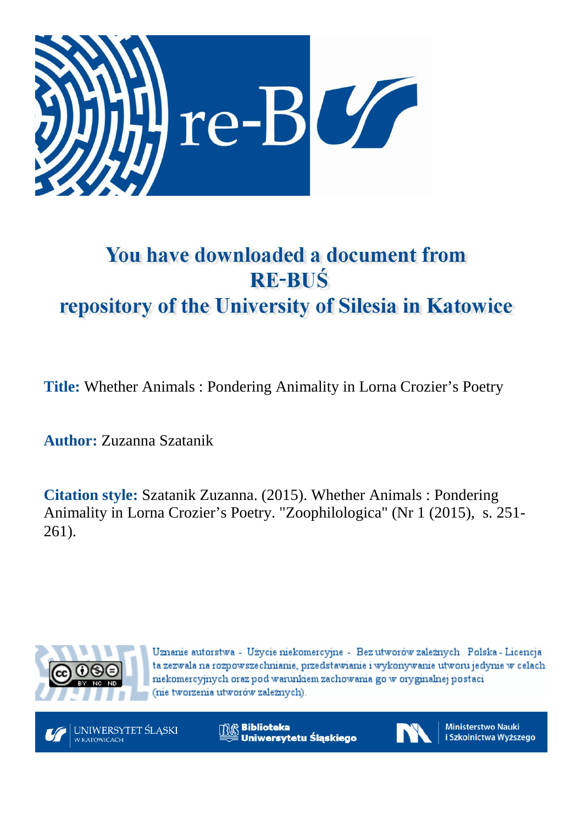

# You have downloaded a document from **RE-BUŚ** repository of the University of Silesia in Katowice

**Title:** Whether Animals : Pondering Animality in Lorna Crozier's Poetry

**Author:** Zuzanna Szatanik

**Citation style:** Szatanik Zuzanna. (2015). Whether Animals : Pondering Animality in Lorna Crozier's Poetry. "Zoophilologica" (Nr 1 (2015), s. 251- 261).



Uznanie autorstwa - Użycie niekomercyjne - Bez utworów zależnych Polska - Licencja ta zezwala na rozpowszechnianie, przedstawianie i wykonywanie utworu jedynie w celach niekomercyjnych oraz pod warunkiem zachowania go w oryginalnej postaci (nie tworzenia utworów zależnych).



**Biblioteka** Uniwersytetu Śląskiego



**Ministerstwo Nauki** i Szkolnictwa Wyższego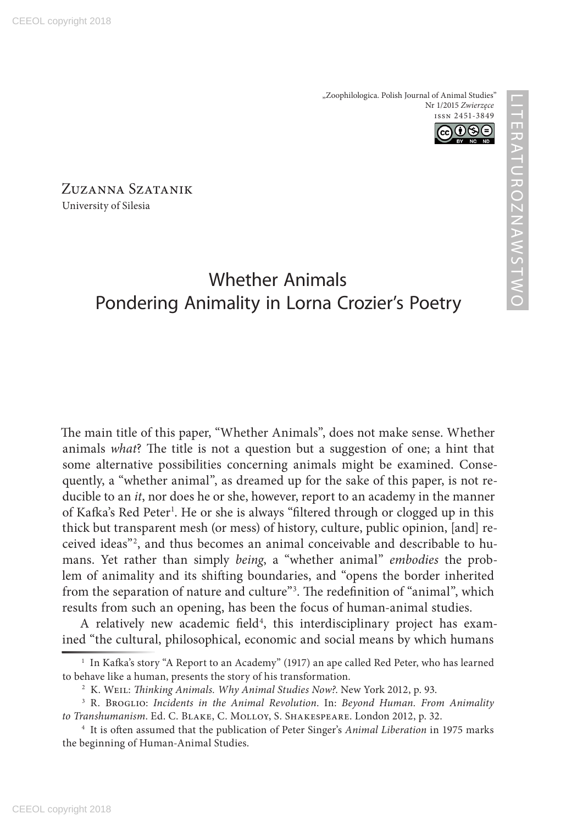

Zuzanna Szatanik University of Silesia

# Whether Animals Pondering Animality in Lorna Crozier's Poetry

The main title of this paper, "Whether Animals", does not make sense. Whether animals *what*? The title is not a question but a suggestion of one; a hint that some alternative possibilities concerning animals might be examined. Consequently, a "whether animal", as dreamed up for the sake of this paper, is not reducible to an *it*, nor does he or she, however, report to an academy in the manner of Kafka's Red Peter<sup>1</sup>. He or she is always "filtered through or clogged up in this thick but transparent mesh (or mess) of history, culture, public opinion, [and] received ideas"2 , and thus becomes an animal conceivable and describable to humans. Yet rather than simply *being*, a "whether animal" *embodies* the problem of animality and its shifting boundaries, and "opens the border inherited from the separation of nature and culture"3 . The redefinition of "animal", which results from such an opening, has been the focus of human-animal studies.

A relatively new academic field<sup>4</sup>, this interdisciplinary project has examined "the cultural, philosophical, economic and social means by which humans

<sup>1</sup> In Kafka's story "A Report to an Academy" (1917) an ape called Red Peter, who has learned to behave like a human, presents the story of his transformation.

<sup>2</sup> K. Weil: *Thinking Animals. Why Animal Studies Now?*. New York 2012, p. 93.

<sup>3</sup> R. Broglio: *Incidents in the Animal Revolution*. In: *Beyond Human. From Animality to Transhumanism*. Ed. C. Blake, C. Molloy, S. Shakespeare. London 2012, p. 32.

<sup>4</sup> It is often assumed that the publication of Peter Singer's *Animal Liberation* in 1975 marks the beginning of Human-Animal Studies.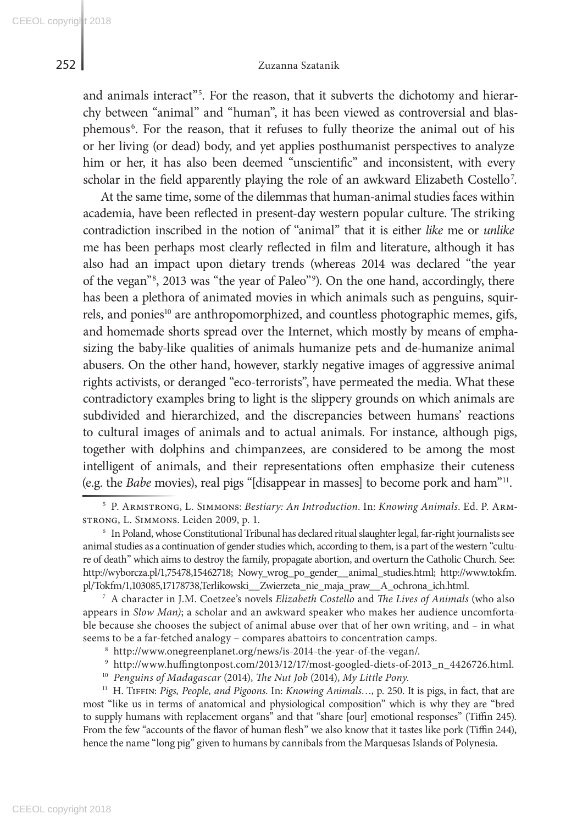## 252 Zuzanna Szatanik

and animals interact"<sup>5</sup>. For the reason, that it subverts the dichotomy and hierarchy between "animal" and "human", it has been viewed as controversial and blasphemous<sup>6</sup>. For the reason, that it refuses to fully theorize the animal out of his or her living (or dead) body, and yet applies posthumanist perspectives to analyze him or her, it has also been deemed "unscientific" and inconsistent, with every scholar in the field apparently playing the role of an awkward Elizabeth Costello<sup>7</sup>.

At the same time, some of the dilemmas that human-animal studies faces within academia, have been reflected in present-day western popular culture. The striking contradiction inscribed in the notion of "animal" that it is either *like* me or *unlike* me has been perhaps most clearly reflected in film and literature, although it has also had an impact upon dietary trends (whereas 2014 was declared "the year of the vegan"8 , 2013 was "the year of Paleo"9 ). On the one hand, accordingly, there has been a plethora of animated movies in which animals such as penguins, squirrels, and ponies<sup>10</sup> are anthropomorphized, and countless photographic memes, gifs, and homemade shorts spread over the Internet, which mostly by means of emphasizing the baby-like qualities of animals humanize pets and de-humanize animal abusers. On the other hand, however, starkly negative images of aggressive animal rights activists, or deranged "eco-terrorists", have permeated the media. What these contradictory examples bring to light is the slippery grounds on which animals are subdivided and hierarchized, and the discrepancies between humans' reactions to cultural images of animals and to actual animals. For instance, although pigs, together with dolphins and chimpanzees, are considered to be among the most intelligent of animals, and their representations often emphasize their cuteness (e.g. the *Babe* movies), real pigs "[disappear in masses] to become pork and ham"11.

<sup>7</sup> A character in J.M. Coetzee's novels *Elizabeth Costello* and *The Lives of Animals* (who also appears in *Slow Man)*; a scholar and an awkward speaker who makes her audience uncomfortable because she chooses the subject of animal abuse over that of her own writing, and – in what seems to be a far-fetched analogy – compares abattoirs to concentration camps.

<sup>11</sup> H. Tiffin: *Pigs, People, and Pigoons*. In: *Knowing Animals*…, p. 250. It is pigs, in fact, that are most "like us in terms of anatomical and physiological composition" which is why they are "bred to supply humans with replacement organs" and that "share [our] emotional responses" (Tiffin 245). From the few "accounts of the flavor of human flesh" we also know that it tastes like pork (Tiffin 244), hence the name "long pig" given to humans by cannibals from the Marquesas Islands of Polynesia.

<sup>5</sup> P. Armstrong, L. Simmons: *Bestiary: An Introduction*. In: *Knowing Animals*. Ed. P. Armstrong, L. Simmons. Leiden 2009, p. 1.

<sup>6</sup> In Poland, whose Constitutional Tribunal has declared ritual slaughter legal, far-right journalists see animal studies as a continuation of gender studies which, according to them, is a part of the western "culture of death" which aims to destroy the family, propagate abortion, and overturn the Catholic Church. See: http://wyborcza.pl/1,75478,15462718; Nowy\_wrog\_po\_gender\_\_animal\_studies.html; http://www.tokfm. pl/Tokfm/1,103085,17178738,Terlikowski\_\_Zwierzeta\_nie\_maja\_praw\_\_A\_ochrona\_ich.html.

<sup>8</sup> http://www.onegreenplanet.org/news/is-2014-the-year-of-the-vegan/.

<sup>9</sup> http://www.huffingtonpost.com/2013/12/17/most-googled-diets-of-2013\_n\_4426726.html.

<sup>10</sup> *Penguins of Madagascar* (2014), *The Nut Job* (2014), *My Little Pony*.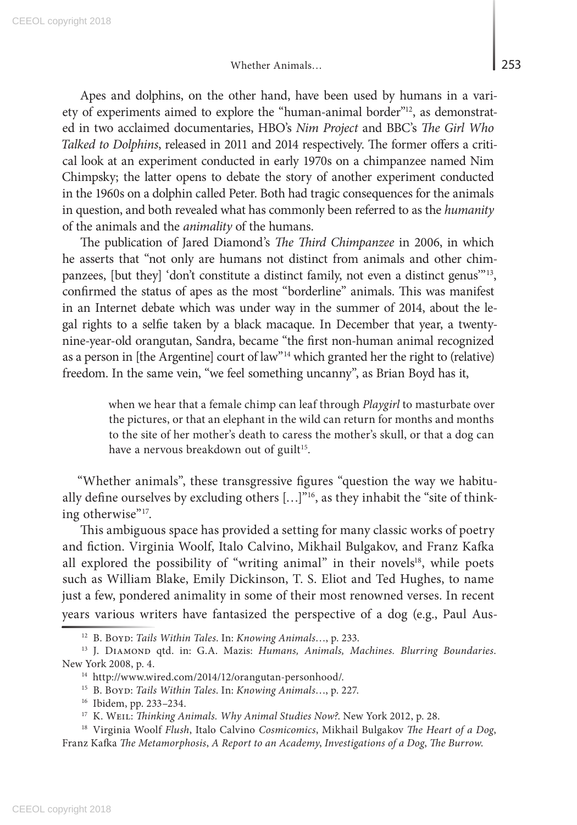Apes and dolphins, on the other hand, have been used by humans in a variety of experiments aimed to explore the "human-animal border"12, as demonstrated in two acclaimed documentaries, HBO's *Nim Project* and BBC's *The Girl Who Talked to Dolphins*, released in 2011 and 2014 respectively. The former offers a critical look at an experiment conducted in early 1970s on a chimpanzee named Nim Chimpsky; the latter opens to debate the story of another experiment conducted in the 1960s on a dolphin called Peter. Both had tragic consequences for the animals in question, and both revealed what has commonly been referred to as the *humanity* of the animals and the *animality* of the humans.

The publication of Jared Diamond's *The Third Chimpanzee* in 2006, in which he asserts that "not only are humans not distinct from animals and other chimpanzees, [but they] 'don't constitute a distinct family, not even a distinct genus'"13, confirmed the status of apes as the most "borderline" animals. This was manifest in an Internet debate which was under way in the summer of 2014, about the legal rights to a selfie taken by a black macaque. In December that year, a twentynine-year-old orangutan, Sandra, became "the first non-human animal recognized as a person in [the Argentine] court of law"<sup>14</sup> which granted her the right to (relative) freedom. In the same vein, "we feel something uncanny", as Brian Boyd has it,

> when we hear that a female chimp can leaf through *Playgirl* to masturbate over the pictures, or that an elephant in the wild can return for months and months to the site of her mother's death to caress the mother's skull, or that a dog can have a nervous breakdown out of guilt<sup>15</sup>.

"Whether animals", these transgressive figures "question the way we habitually define ourselves by excluding others  $[...]^{v_{16}}$ , as they inhabit the "site of thinking otherwise"<sup>17</sup>.

This ambiguous space has provided a setting for many classic works of poetry and fiction. Virginia Woolf, Italo Calvino, Mikhail Bulgakov, and Franz Kafka all explored the possibility of "writing animal" in their novels<sup>18</sup>, while poets such as William Blake, Emily Dickinson, T. S. Eliot and Ted Hughes, to name just a few, pondered animality in some of their most renowned verses. In recent years various writers have fantasized the perspective of a dog (e.g., Paul Aus-

<sup>12</sup> B. Boyd: *Tails Within Tales*. In: *Knowing Animals*…, p. 233.

<sup>&</sup>lt;sup>13</sup> J. DIAMOND qtd. in: G.A. Mazis: *Humans, Animals, Machines. Blurring Boundaries*. New York 2008, p. 4.

<sup>14</sup> http://www.wired.com/2014/12/orangutan-personhood/.

<sup>15</sup> B. Boyd: *Tails Within Tales*. In: *Knowing Animals*…, p. 227.

<sup>16</sup> Ibidem, pp. 233–234.

<sup>&</sup>lt;sup>17</sup> K. WEIL: *Thinking Animals. Why Animal Studies Now?*. New York 2012, p. 28.

<sup>18</sup> Virginia Woolf *Flush*, Italo Calvino *Cosmicomics*, Mikhail Bulgakov *The Heart of a Dog*, Franz Kafka *The Metamorphosis*, *A Report to an Academy*, *Investigations of a Dog*, *The Burrow*.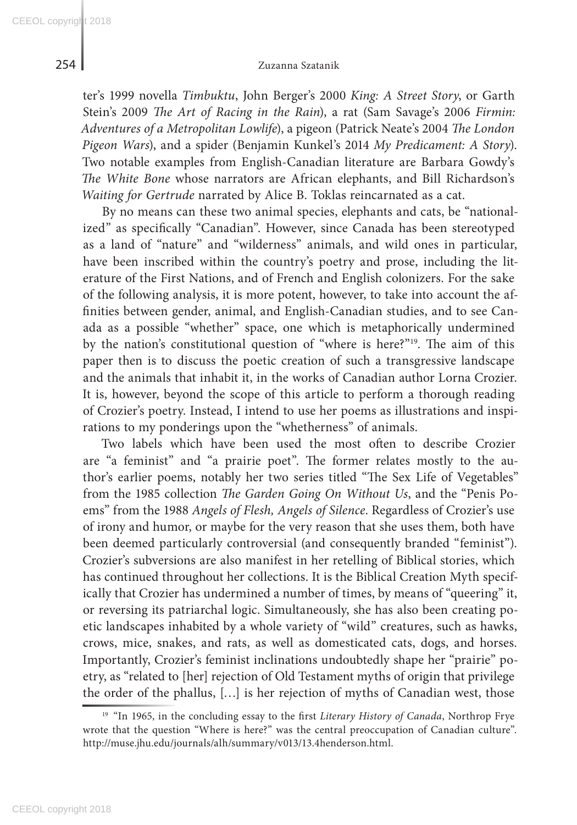ter's 1999 novella *Timbuktu*, John Berger's 2000 *King: A Street Story*, or Garth Stein's 2009 *The Art of Racing in the Rain*), a rat (Sam Savage's 2006 *Firmin: Adventures of a Metropolitan Lowlife*), a pigeon (Patrick Neate's 2004 *The London Pigeon Wars*), and a spider (Benjamin Kunkel's 2014 *My Predicament: A Story*). Two notable examples from English-Canadian literature are Barbara Gowdy's *The White Bone* whose narrators are African elephants, and Bill Richardson's *Waiting for Gertrude* narrated by Alice B. Toklas reincarnated as a cat.

By no means can these two animal species, elephants and cats, be "nationalized" as specifically "Canadian". However, since Canada has been stereotyped as a land of "nature" and "wilderness" animals, and wild ones in particular, have been inscribed within the country's poetry and prose, including the literature of the First Nations, and of French and English colonizers. For the sake of the following analysis, it is more potent, however, to take into account the affinities between gender, animal, and English-Canadian studies, and to see Canada as a possible "whether" space, one which is metaphorically undermined by the nation's constitutional question of "where is here?"19. The aim of this paper then is to discuss the poetic creation of such a transgressive landscape and the animals that inhabit it, in the works of Canadian author Lorna Crozier. It is, however, beyond the scope of this article to perform a thorough reading of Crozier's poetry. Instead, I intend to use her poems as illustrations and inspirations to my ponderings upon the "whetherness" of animals.

Two labels which have been used the most often to describe Crozier are "a feminist" and "a prairie poet". The former relates mostly to the author's earlier poems, notably her two series titled "The Sex Life of Vegetables" from the 1985 collection *The Garden Going On Without Us*, and the "Penis Poems" from the 1988 *Angels of Flesh, Angels of Silence*. Regardless of Crozier's use of irony and humor, or maybe for the very reason that she uses them, both have been deemed particularly controversial (and consequently branded "feminist"). Crozier's subversions are also manifest in her retelling of Biblical stories, which has continued throughout her collections. It is the Biblical Creation Myth specifically that Crozier has undermined a number of times, by means of "queering" it, or reversing its patriarchal logic. Simultaneously, she has also been creating poetic landscapes inhabited by a whole variety of "wild" creatures, such as hawks, crows, mice, snakes, and rats, as well as domesticated cats, dogs, and horses. Importantly, Crozier's feminist inclinations undoubtedly shape her "prairie" poetry, as "related to [her] rejection of Old Testament myths of origin that privilege the order of the phallus, […] is her rejection of myths of Canadian west, those

<sup>&</sup>lt;sup>19</sup> "In 1965, in the concluding essay to the first *Literary History of Canada*, Northrop Frye wrote that the question "Where is here?" was the central preoccupation of Canadian culture". http://muse.jhu.edu/journals/alh/summary/v013/13.4henderson.html.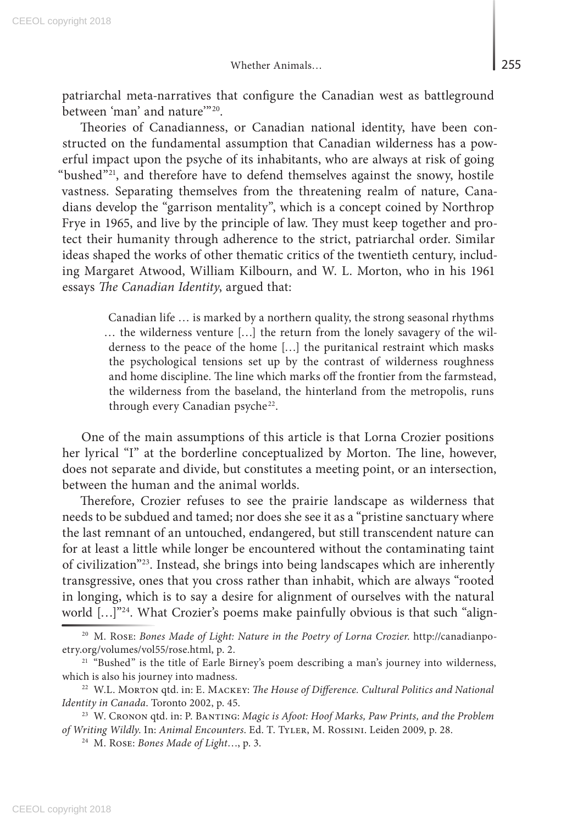patriarchal meta-narratives that configure the Canadian west as battleground between 'man' and nature'"20.

Theories of Canadianness, or Canadian national identity, have been constructed on the fundamental assumption that Canadian wilderness has a powerful impact upon the psyche of its inhabitants, who are always at risk of going "bushed"21, and therefore have to defend themselves against the snowy, hostile vastness. Separating themselves from the threatening realm of nature, Canadians develop the "garrison mentality", which is a concept coined by Northrop Frye in 1965, and live by the principle of law. They must keep together and protect their humanity through adherence to the strict, patriarchal order. Similar ideas shaped the works of other thematic critics of the twentieth century, including Margaret Atwood, William Kilbourn, and W. L. Morton, who in his 1961 essays *The Canadian Identity*, argued that:

> Canadian life … is marked by a northern quality, the strong seasonal rhythms … the wilderness venture […] the return from the lonely savagery of the wilderness to the peace of the home […] the puritanical restraint which masks the psychological tensions set up by the contrast of wilderness roughness and home discipline. The line which marks off the frontier from the farmstead, the wilderness from the baseland, the hinterland from the metropolis, runs through every Canadian psyche<sup>22</sup>.

One of the main assumptions of this article is that Lorna Crozier positions her lyrical "I" at the borderline conceptualized by Morton. The line, however, does not separate and divide, but constitutes a meeting point, or an intersection, between the human and the animal worlds.

Therefore, Crozier refuses to see the prairie landscape as wilderness that needs to be subdued and tamed; nor does she see it as a "pristine sanctuary where the last remnant of an untouched, endangered, but still transcendent nature can for at least a little while longer be encountered without the contaminating taint of civilization"23. Instead, she brings into being landscapes which are inherently transgressive, ones that you cross rather than inhabit, which are always "rooted in longing, which is to say a desire for alignment of ourselves with the natural world [...]"<sup>24</sup>. What Crozier's poems make painfully obvious is that such "align-

<sup>20</sup> M. Rose: *Bones Made of Light: Nature in the Poetry of Lorna Crozier*. http://canadianpoetry.org/volumes/vol55/rose.html, p. 2.

<sup>&</sup>lt;sup>21</sup> "Bushed" is the title of Earle Birney's poem describing a man's journey into wilderness, which is also his journey into madness.

<sup>&</sup>lt;sup>22</sup> W.L. MORTON qtd. in: E. MACKEY: *The House of Difference. Cultural Politics and National Identity in Canada*. Toronto 2002, p. 45.

<sup>&</sup>lt;sup>23</sup> W. CRONON qtd. in: P. BANTING: *Magic is Afoot: Hoof Marks, Paw Prints, and the Problem of Writing Wildly*. In: *Animal Encounters*. Ed. T. Tyler, M. Rossini. Leiden 2009, p. 28.

<sup>24</sup> M. Rose: *Bones Made of Light*…, p. 3.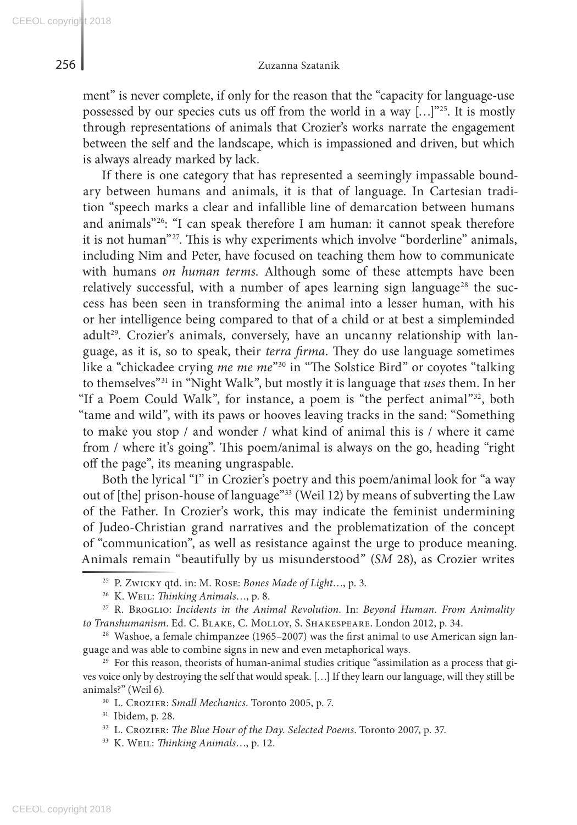ment" is never complete, if only for the reason that the "capacity for language-use possessed by our species cuts us off from the world in a way  $[...]^{25}$ . It is mostly through representations of animals that Crozier's works narrate the engagement between the self and the landscape, which is impassioned and driven, but which is always already marked by lack.

If there is one category that has represented a seemingly impassable boundary between humans and animals, it is that of language. In Cartesian tradition "speech marks a clear and infallible line of demarcation between humans and animals"<sup>26</sup>: "I can speak therefore I am human: it cannot speak therefore it is not human"27. This is why experiments which involve "borderline" animals, including Nim and Peter, have focused on teaching them how to communicate with humans *on human terms*. Although some of these attempts have been relatively successful, with a number of apes learning sign language<sup>28</sup> the success has been seen in transforming the animal into a lesser human, with his or her intelligence being compared to that of a child or at best a simpleminded adult<sup>29</sup>. Crozier's animals, conversely, have an uncanny relationship with language, as it is, so to speak, their *terra firma*. They do use language sometimes like a "chickadee crying *me me me*"30 in "The Solstice Bird" or coyotes "talking to themselves"31 in "Night Walk", but mostly it is language that *uses* them. In her "If a Poem Could Walk", for instance, a poem is "the perfect animal"<sup>32</sup>, both "tame and wild", with its paws or hooves leaving tracks in the sand: "Something to make you stop / and wonder / what kind of animal this is / where it came from / where it's going". This poem/animal is always on the go, heading "right off the page", its meaning ungraspable.

Both the lyrical "I" in Crozier's poetry and this poem/animal look for "a way out of [the] prison-house of language"33 (Weil 12) by means of subverting the Law of the Father. In Crozier's work, this may indicate the feminist undermining of Judeo-Christian grand narratives and the problematization of the concept of "communication", as well as resistance against the urge to produce meaning. Animals remain "beautifully by us misunderstood" (*SM* 28), as Crozier writes

<sup>33</sup> K. Weil: *Thinking Animals*…, p. 12.

<sup>25</sup> P. Zwicky qtd. in: M. Rose: *Bones Made of Light*…, p. 3.

<sup>26</sup> K. Weil: *Thinking Animals*…, p. 8.

<sup>27</sup> R. Broglio: *Incidents in the Animal Revolution*. In: *Beyond Human. From Animality to Transhumanism*. Ed. C. Blake, C. Molloy, S. Shakespeare. London 2012, p. 34.

 $28$  Washoe, a female chimpanzee (1965–2007) was the first animal to use American sign language and was able to combine signs in new and even metaphorical ways.

<sup>&</sup>lt;sup>29</sup> For this reason, theorists of human-animal studies critique "assimilation as a process that gives voice only by destroying the self that would speak. […] If they learn our language, will they still be animals?" (Weil 6).

<sup>30</sup> L. Crozier: *Small Mechanics*. Toronto 2005, p. 7.

<sup>31</sup> Ibidem, p. 28.

<sup>32</sup> L. Crozier: *The Blue Hour of the Day. Selected Poems*. Toronto 2007, p. 37.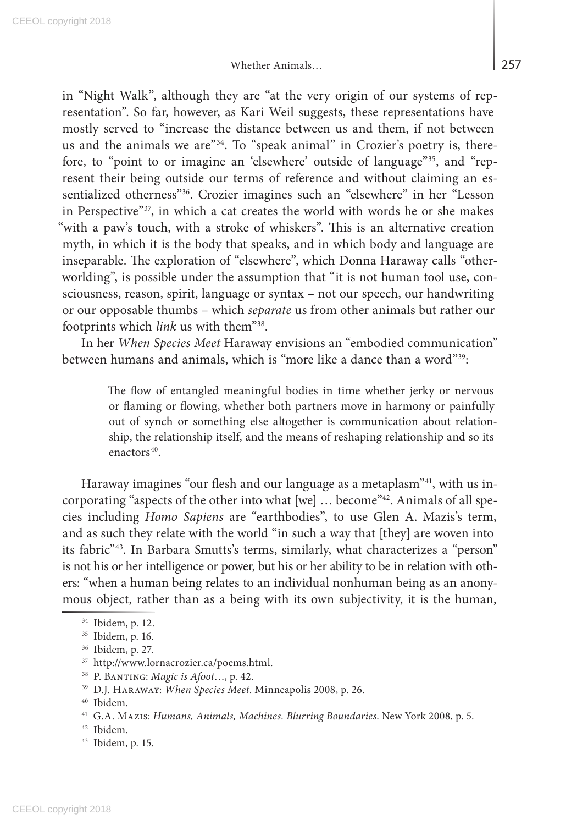in "Night Walk", although they are "at the very origin of our systems of representation". So far, however, as Kari Weil suggests, these representations have mostly served to "increase the distance between us and them, if not between us and the animals we are<sup>"34</sup>. To "speak animal" in Crozier's poetry is, therefore, to "point to or imagine an 'elsewhere' outside of language"<sup>35</sup>, and "represent their being outside our terms of reference and without claiming an essentialized otherness"36. Crozier imagines such an "elsewhere" in her "Lesson in Perspective"37, in which a cat creates the world with words he or she makes "with a paw's touch, with a stroke of whiskers". This is an alternative creation myth, in which it is the body that speaks, and in which body and language are inseparable. The exploration of "elsewhere", which Donna Haraway calls "otherworlding", is possible under the assumption that "it is not human tool use, consciousness, reason, spirit, language or syntax – not our speech, our handwriting or our opposable thumbs – which *separate* us from other animals but rather our footprints which *link* us with them"38.

In her *When Species Meet* Haraway envisions an "embodied communication" between humans and animals, which is "more like a dance than a word"39:

> The flow of entangled meaningful bodies in time whether jerky or nervous or flaming or flowing, whether both partners move in harmony or painfully out of synch or something else altogether is communication about relationship, the relationship itself, and the means of reshaping relationship and so its enactors<sup>40</sup>.

Haraway imagines "our flesh and our language as a metaplasm"<sup>41</sup>, with us incorporating "aspects of the other into what [we] ... become"<sup>42</sup>. Animals of all species including *Homo Sapiens* are "earthbodies", to use Glen A. Mazis's term, and as such they relate with the world "in such a way that [they] are woven into its fabric"<sup>43</sup>. In Barbara Smutts's terms, similarly, what characterizes a "person" is not his or her intelligence or power, but his or her ability to be in relation with others: "when a human being relates to an individual nonhuman being as an anonymous object, rather than as a being with its own subjectivity, it is the human,

- <sup>37</sup> http://www.lornacrozier.ca/poems.html.
- <sup>38</sup> P. Banting: *Magic is Afoot*…, p. 42.
- <sup>39</sup> D.J. Haraway: *When Species Meet*. Minneapolis 2008, p. 26.

<sup>34</sup> Ibidem, p. 12.

<sup>35</sup> Ibidem, p. 16.

<sup>36</sup> Ibidem, p. 27.

<sup>40</sup> Ibidem.

<sup>41</sup> G.A. Mazis: *Humans, Animals, Machines. Blurring Boundaries*. New York 2008, p. 5.

<sup>42</sup> Ibidem.

<sup>43</sup> Ibidem, p. 15.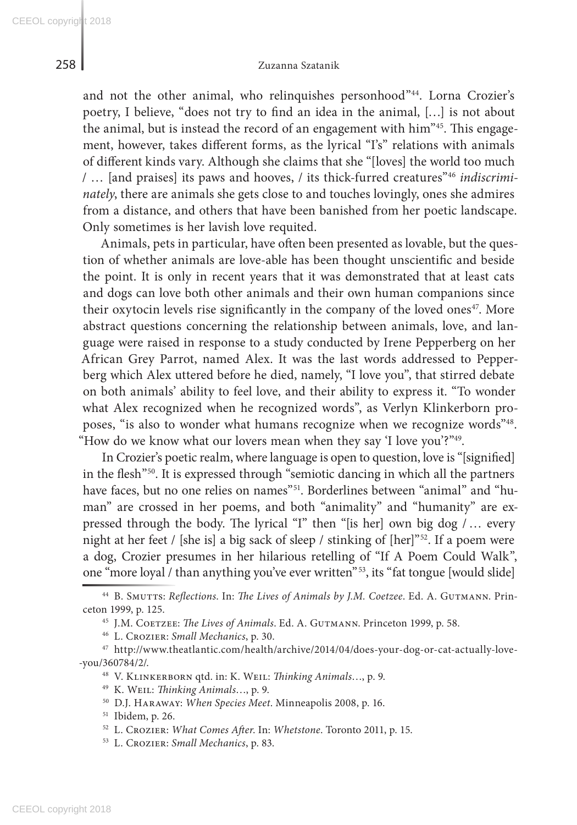and not the other animal, who relinquishes personhood"<sup>44</sup>. Lorna Crozier's poetry, I believe, "does not try to find an idea in the animal, […] is not about the animal, but is instead the record of an engagement with him<sup>"45</sup>. This engagement, however, takes different forms, as the lyrical "I's" relations with animals of different kinds vary. Although she claims that she "[loves] the world too much / … [and praises] its paws and hooves, / its thick-furred creatures"46 *indiscriminately*, there are animals she gets close to and touches lovingly, ones she admires from a distance, and others that have been banished from her poetic landscape. Only sometimes is her lavish love requited.

Animals, pets in particular, have often been presented as lovable, but the question of whether animals are love-able has been thought unscientific and beside the point. It is only in recent years that it was demonstrated that at least cats and dogs can love both other animals and their own human companions since their oxytocin levels rise significantly in the company of the loved ones<sup>47</sup>. More abstract questions concerning the relationship between animals, love, and language were raised in response to a study conducted by Irene Pepperberg on her African Grey Parrot, named Alex. It was the last words addressed to Pepperberg which Alex uttered before he died, namely, "I love you", that stirred debate on both animals' ability to feel love, and their ability to express it. "To wonder what Alex recognized when he recognized words", as Verlyn Klinkerborn proposes, "is also to wonder what humans recognize when we recognize words"48. "How do we know what our lovers mean when they say 'I love you'?"49.

In Crozier's poetic realm, where language is open to question, love is "[signified] in the flesh"50. It is expressed through "semiotic dancing in which all the partners have faces, but no one relies on names"<sup>51</sup>. Borderlines between "animal" and "human" are crossed in her poems, and both "animality" and "humanity" are expressed through the body. The lyrical "I" then "[is her] own big dog / … every night at her feet / [she is] a big sack of sleep / stinking of [her]"52. If a poem were a dog, Crozier presumes in her hilarious retelling of "If A Poem Could Walk", one "more loyal / than anything you've ever written"<sup>53</sup>, its "fat tongue [would slide]

<sup>48</sup> V. Klinkerborn qtd. in: K. Weil: *Thinking Animals*…, p. 9.

- <sup>50</sup> D.J. Haraway: *When Species Meet*. Minneapolis 2008, p. 16.
- <sup>51</sup> Ibidem, p. 26.
- <sup>52</sup> L. Crozier: *What Comes After*. In: *Whetstone*. Toronto 2011, p. 15.
- <sup>53</sup> L. Crozier: *Small Mechanics*, p. 83.

<sup>44</sup> B. Smutts: *Reflections*. In: *The Lives of Animals by J.M. Coetzee*. Ed. A. Gutmann. Princeton 1999, p. 125.

<sup>&</sup>lt;sup>45</sup> J.M. COETZEE: *The Lives of Animals*. Ed. A. GUTMANN. Princeton 1999, p. 58.

<sup>46</sup> L. Crozier: *Small Mechanics*, p. 30.

<sup>47</sup> http://www.theatlantic.com/health/archive/2014/04/does-your-dog-or-cat-actually-love- -you/360784/2/.

<sup>49</sup> K. Weil: *Thinking Animals*…, p. 9.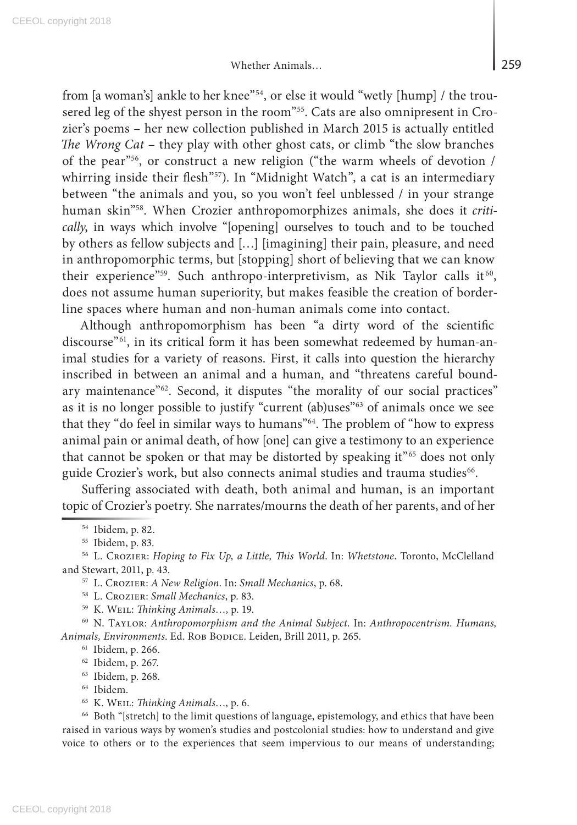from [a woman's] ankle to her knee"54, or else it would "wetly [hump] / the trousered leg of the shyest person in the room"55. Cats are also omnipresent in Crozier's poems – her new collection published in March 2015 is actually entitled *The Wrong Cat* – they play with other ghost cats, or climb "the slow branches of the pear"56, or construct a new religion ("the warm wheels of devotion / whirring inside their flesh"<sup>57</sup>). In "Midnight Watch", a cat is an intermediary between "the animals and you, so you won't feel unblessed / in your strange human skin"58. When Crozier anthropomorphizes animals, she does it *critically*, in ways which involve "[opening] ourselves to touch and to be touched by others as fellow subjects and […] [imagining] their pain, pleasure, and need in anthropomorphic terms, but [stopping] short of believing that we can know their experience"<sup>59</sup>. Such anthropo-interpretivism, as Nik Taylor calls it<sup>60</sup>, does not assume human superiority, but makes feasible the creation of borderline spaces where human and non-human animals come into contact.

Although anthropomorphism has been "a dirty word of the scientific discourse"61, in its critical form it has been somewhat redeemed by human-animal studies for a variety of reasons. First, it calls into question the hierarchy inscribed in between an animal and a human, and "threatens careful boundary maintenance"<sup>62</sup>. Second, it disputes "the morality of our social practices" as it is no longer possible to justify "current (ab)uses"<sup>63</sup> of animals once we see that they "do feel in similar ways to humans"<sup>64</sup>. The problem of "how to express animal pain or animal death, of how [one] can give a testimony to an experience that cannot be spoken or that may be distorted by speaking it"<sup>65</sup> does not only guide Crozier's work, but also connects animal studies and trauma studies<sup>66</sup>.

Suffering associated with death, both animal and human, is an important topic of Crozier's poetry. She narrates/mourns the death of her parents, and of her

<sup>66</sup> Both "[stretch] to the limit questions of language, epistemology, and ethics that have been raised in various ways by women's studies and postcolonial studies: how to understand and give voice to others or to the experiences that seem impervious to our means of understanding;

<sup>54</sup> Ibidem, p. 82.

<sup>55</sup> Ibidem, p. 83.

<sup>56</sup> L. Crozier: *Hoping to Fix Up, a Little, This World*. In: *Whetstone*. Toronto, McClelland and Stewart, 2011, p. 43.

<sup>57</sup> L. Crozier: *A New Religion*. In: *Small Mechanics*, p. 68.

<sup>58</sup> L. Crozier: *Small Mechanics*, p. 83.

<sup>59</sup> K. Weil: *Thinking Animals*…, p. 19.

<sup>60</sup> N. Taylor: *Anthropomorphism and the Animal Subject*. In: *Anthropocentrism. Humans, Animals, Environments*. Ed. Rob Bodice. Leiden, Brill 2011, p. 265.

<sup>61</sup> Ibidem, p. 266.

<sup>62</sup> Ibidem, p. 267.

<sup>63</sup> Ibidem, p. 268.

<sup>64</sup> Ibidem.

<sup>65</sup> K. Weil: *Thinking Animals*…, p. 6.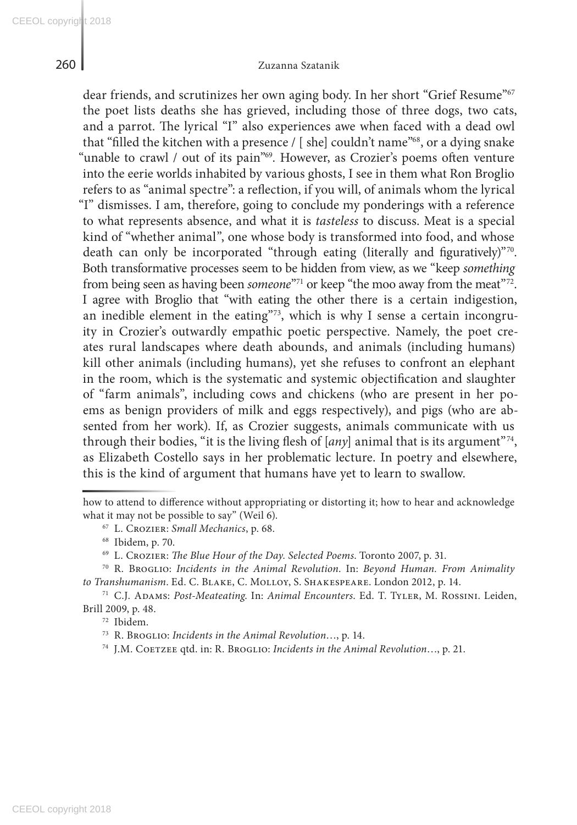dear friends, and scrutinizes her own aging body. In her short "Grief Resume"<sup>67</sup> the poet lists deaths she has grieved, including those of three dogs, two cats, and a parrot. The lyrical "I" also experiences awe when faced with a dead owl that "filled the kitchen with a presence / [ she] couldn't name"68, or a dying snake "unable to crawl / out of its pain"<sup>69</sup>. However, as Crozier's poems often venture into the eerie worlds inhabited by various ghosts, I see in them what Ron Broglio refers to as "animal spectre": a reflection, if you will, of animals whom the lyrical "I" dismisses. I am, therefore, going to conclude my ponderings with a reference to what represents absence, and what it is *tasteless* to discuss. Meat is a special kind of "whether animal", one whose body is transformed into food, and whose death can only be incorporated "through eating (literally and figuratively)"70. Both transformative processes seem to be hidden from view, as we "keep *something* from being seen as having been *someone*"71 or keep "the moo away from the meat"<sup>72</sup>. I agree with Broglio that "with eating the other there is a certain indigestion, an inedible element in the eating"<sup>73</sup>, which is why I sense a certain incongruity in Crozier's outwardly empathic poetic perspective. Namely, the poet creates rural landscapes where death abounds, and animals (including humans) kill other animals (including humans), yet she refuses to confront an elephant in the room, which is the systematic and systemic objectification and slaughter of "farm animals", including cows and chickens (who are present in her poems as benign providers of milk and eggs respectively), and pigs (who are absented from her work). If, as Crozier suggests, animals communicate with us through their bodies, "it is the living flesh of  $[any]$  animal that is its argument"<sup>74</sup>, as Elizabeth Costello says in her problematic lecture. In poetry and elsewhere, this is the kind of argument that humans have yet to learn to swallow.

<sup>70</sup> R. Broglio: *Incidents in the Animal Revolution*. In: *Beyond Human. From Animality to Transhumanism*. Ed. C. Blake, C. Molloy, S. Shakespeare. London 2012, p. 14.

<sup>71</sup> C.J. Adams: *Post-Meateating*. In: *Animal Encounters*. Ed. T. Tyler, M. Rossini. Leiden, Brill 2009, p. 48.

how to attend to difference without appropriating or distorting it; how to hear and acknowledge what it may not be possible to say" (Weil 6).

<sup>67</sup> L. Crozier: *Small Mechanics*, p. 68.

<sup>68</sup> Ibidem, p. 70.

<sup>69</sup> L. Crozier: *The Blue Hour of the Day. Selected Poems*. Toronto 2007, p. 31.

<sup>72</sup> Ibidem.

<sup>73</sup> R. Broglio: *Incidents in the Animal Revolution*…, p. 14.

<sup>&</sup>lt;sup>74</sup> J.M. COETZEE qtd. in: R. BROGLIO: *Incidents in the Animal Revolution*..., p. 21.